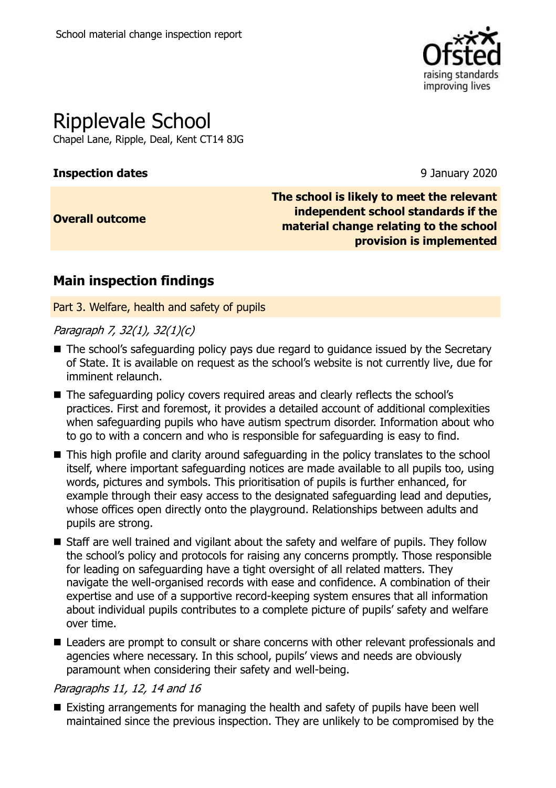

# Ripplevale School

Chapel Lane, Ripple, Deal, Kent CT14 8JG

### **Inspection dates** 9 January 2020

**Overall outcome**

**The school is likely to meet the relevant independent school standards if the material change relating to the school provision is implemented**

### **Main inspection findings**

Part 3. Welfare, health and safety of pupils

### Paragraph 7, 32(1), 32(1)(c)

- The school's safeguarding policy pays due regard to guidance issued by the Secretary of State. It is available on request as the school's website is not currently live, due for imminent relaunch.
- The safeguarding policy covers required areas and clearly reflects the school's practices. First and foremost, it provides a detailed account of additional complexities when safeguarding pupils who have autism spectrum disorder. Information about who to go to with a concern and who is responsible for safeguarding is easy to find.
- This high profile and clarity around safeguarding in the policy translates to the school itself, where important safeguarding notices are made available to all pupils too, using words, pictures and symbols. This prioritisation of pupils is further enhanced, for example through their easy access to the designated safeguarding lead and deputies, whose offices open directly onto the playground. Relationships between adults and pupils are strong.
- Staff are well trained and vigilant about the safety and welfare of pupils. They follow the school's policy and protocols for raising any concerns promptly. Those responsible for leading on safeguarding have a tight oversight of all related matters. They navigate the well-organised records with ease and confidence. A combination of their expertise and use of a supportive record-keeping system ensures that all information about individual pupils contributes to a complete picture of pupils' safety and welfare over time.
- Leaders are prompt to consult or share concerns with other relevant professionals and agencies where necessary. In this school, pupils' views and needs are obviously paramount when considering their safety and well-being.

### Paragraphs 11, 12, 14 and 16

■ Existing arrangements for managing the health and safety of pupils have been well maintained since the previous inspection. They are unlikely to be compromised by the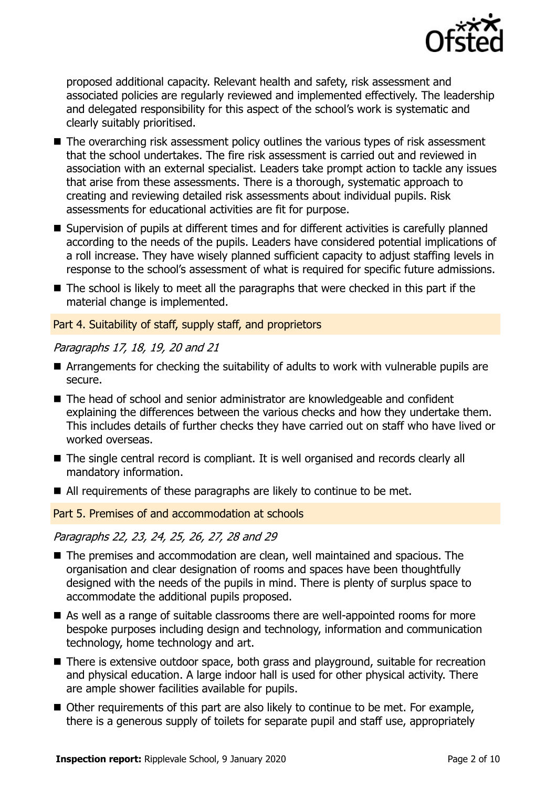

proposed additional capacity. Relevant health and safety, risk assessment and associated policies are regularly reviewed and implemented effectively. The leadership and delegated responsibility for this aspect of the school's work is systematic and clearly suitably prioritised.

- $\blacksquare$  The overarching risk assessment policy outlines the various types of risk assessment that the school undertakes. The fire risk assessment is carried out and reviewed in association with an external specialist. Leaders take prompt action to tackle any issues that arise from these assessments. There is a thorough, systematic approach to creating and reviewing detailed risk assessments about individual pupils. Risk assessments for educational activities are fit for purpose.
- Supervision of pupils at different times and for different activities is carefully planned according to the needs of the pupils. Leaders have considered potential implications of a roll increase. They have wisely planned sufficient capacity to adjust staffing levels in response to the school's assessment of what is required for specific future admissions.
- $\blacksquare$  The school is likely to meet all the paragraphs that were checked in this part if the material change is implemented.

### Part 4. Suitability of staff, supply staff, and proprietors

### Paragraphs 17, 18, 19, 20 and 21

- Arrangements for checking the suitability of adults to work with vulnerable pupils are secure.
- The head of school and senior administrator are knowledgeable and confident explaining the differences between the various checks and how they undertake them. This includes details of further checks they have carried out on staff who have lived or worked overseas.
- The single central record is compliant. It is well organised and records clearly all mandatory information.
- All requirements of these paragraphs are likely to continue to be met.

Part 5. Premises of and accommodation at schools

### Paragraphs 22, 23, 24, 25, 26, 27, 28 and 29

- The premises and accommodation are clean, well maintained and spacious. The organisation and clear designation of rooms and spaces have been thoughtfully designed with the needs of the pupils in mind. There is plenty of surplus space to accommodate the additional pupils proposed.
- As well as a range of suitable classrooms there are well-appointed rooms for more bespoke purposes including design and technology, information and communication technology, home technology and art.
- There is extensive outdoor space, both grass and playground, suitable for recreation and physical education. A large indoor hall is used for other physical activity. There are ample shower facilities available for pupils.
- Other requirements of this part are also likely to continue to be met. For example, there is a generous supply of toilets for separate pupil and staff use, appropriately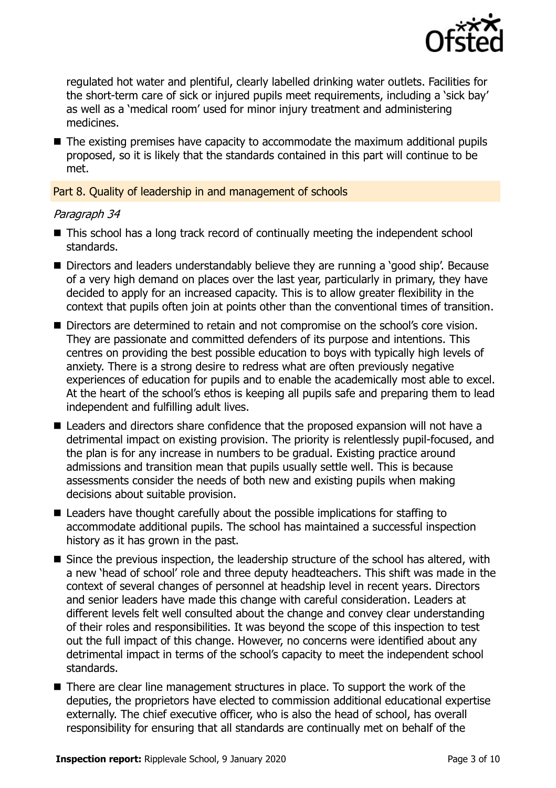

regulated hot water and plentiful, clearly labelled drinking water outlets. Facilities for the short-term care of sick or injured pupils meet requirements, including a 'sick bay' as well as a 'medical room' used for minor injury treatment and administering medicines.

■ The existing premises have capacity to accommodate the maximum additional pupils proposed, so it is likely that the standards contained in this part will continue to be met.

Part 8. Quality of leadership in and management of schools

### Paragraph 34

- This school has a long track record of continually meeting the independent school standards.
- Directors and leaders understandably believe they are running a 'good ship'. Because of a very high demand on places over the last year, particularly in primary, they have decided to apply for an increased capacity. This is to allow greater flexibility in the context that pupils often join at points other than the conventional times of transition.
- Directors are determined to retain and not compromise on the school's core vision. They are passionate and committed defenders of its purpose and intentions. This centres on providing the best possible education to boys with typically high levels of anxiety. There is a strong desire to redress what are often previously negative experiences of education for pupils and to enable the academically most able to excel. At the heart of the school's ethos is keeping all pupils safe and preparing them to lead independent and fulfilling adult lives.
- Leaders and directors share confidence that the proposed expansion will not have a detrimental impact on existing provision. The priority is relentlessly pupil-focused, and the plan is for any increase in numbers to be gradual. Existing practice around admissions and transition mean that pupils usually settle well. This is because assessments consider the needs of both new and existing pupils when making decisions about suitable provision.
- Leaders have thought carefully about the possible implications for staffing to accommodate additional pupils. The school has maintained a successful inspection history as it has grown in the past.
- Since the previous inspection, the leadership structure of the school has altered, with a new 'head of school' role and three deputy headteachers. This shift was made in the context of several changes of personnel at headship level in recent years. Directors and senior leaders have made this change with careful consideration. Leaders at different levels felt well consulted about the change and convey clear understanding of their roles and responsibilities. It was beyond the scope of this inspection to test out the full impact of this change. However, no concerns were identified about any detrimental impact in terms of the school's capacity to meet the independent school standards.
- There are clear line management structures in place. To support the work of the deputies, the proprietors have elected to commission additional educational expertise externally. The chief executive officer, who is also the head of school, has overall responsibility for ensuring that all standards are continually met on behalf of the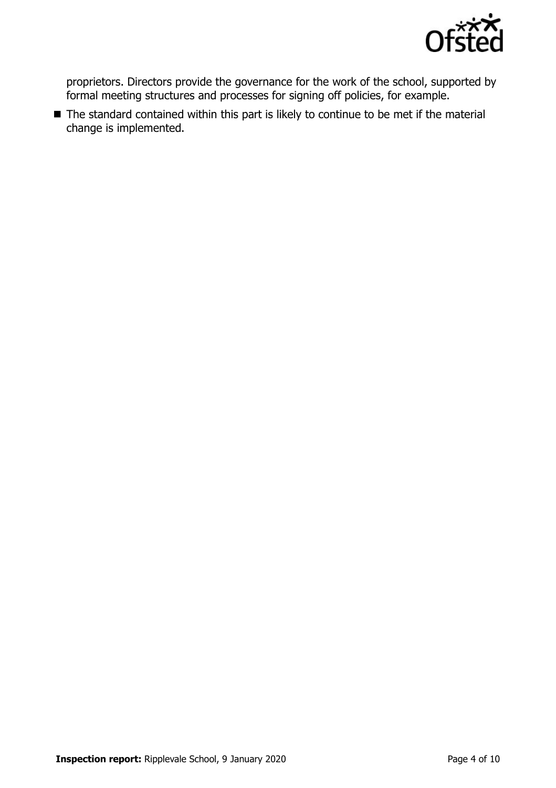

proprietors. Directors provide the governance for the work of the school, supported by formal meeting structures and processes for signing off policies, for example.

■ The standard contained within this part is likely to continue to be met if the material change is implemented.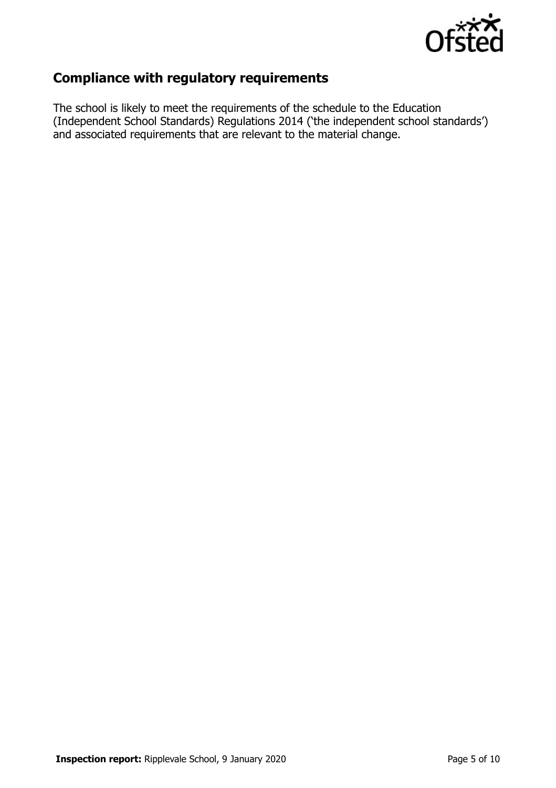

## **Compliance with regulatory requirements**

The school is likely to meet the requirements of the schedule to the Education (Independent School Standards) Regulations 2014 ('the independent school standards') and associated requirements that are relevant to the material change.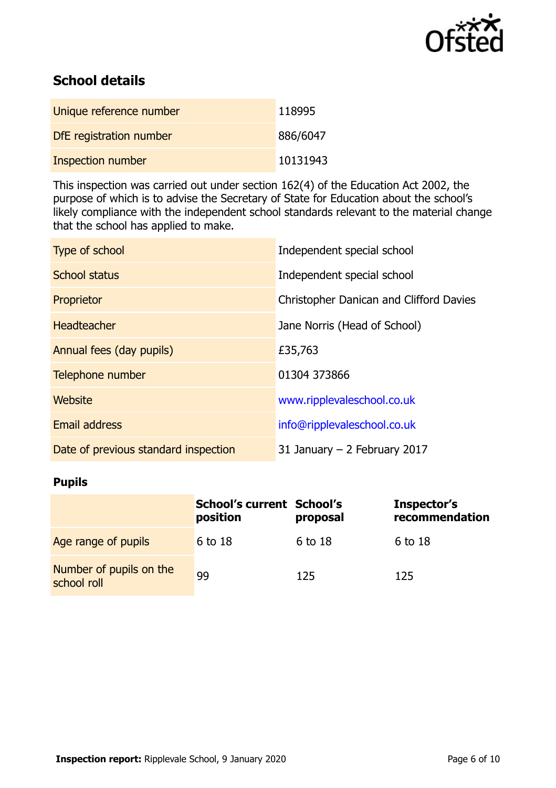

## **School details**

| Unique reference number | 118995   |
|-------------------------|----------|
| DfE registration number | 886/6047 |
| Inspection number       | 10131943 |

This inspection was carried out under section 162(4) of the Education Act 2002, the purpose of which is to advise the Secretary of State for Education about the school's likely compliance with the independent school standards relevant to the material change that the school has applied to make.

| Type of school                       | Independent special school              |
|--------------------------------------|-----------------------------------------|
| <b>School status</b>                 | Independent special school              |
| Proprietor                           | Christopher Danican and Clifford Davies |
| <b>Headteacher</b>                   | Jane Norris (Head of School)            |
| Annual fees (day pupils)             | £35,763                                 |
| Telephone number                     | 01304 373866                            |
| <b>Website</b>                       | www.ripplevaleschool.co.uk              |
| <b>Email address</b>                 | info@ripplevaleschool.co.uk             |
| Date of previous standard inspection | 31 January $-$ 2 February 2017          |

### **Pupils**

|                                        | <b>School's current School's</b><br>position | proposal | Inspector's<br>recommendation |
|----------------------------------------|----------------------------------------------|----------|-------------------------------|
| Age range of pupils                    | 6 to 18                                      | 6 to 18  | 6 to 18                       |
| Number of pupils on the<br>school roll | 99                                           | 125      | 125                           |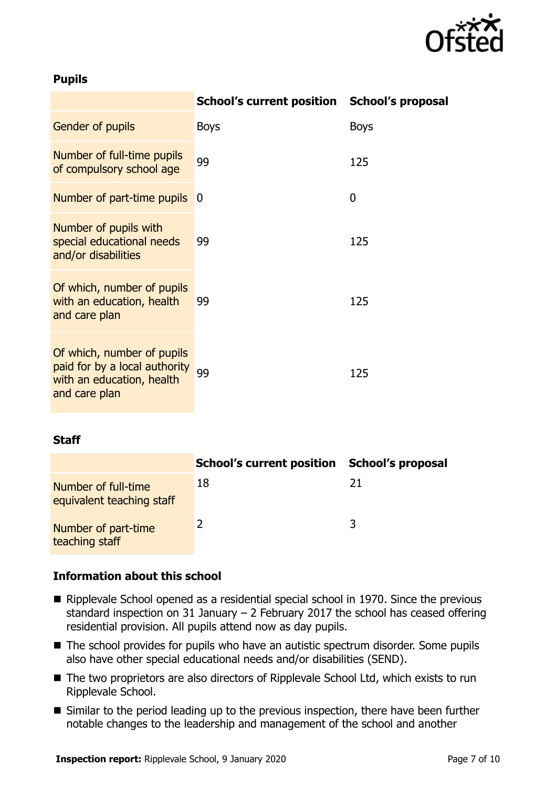

### **Pupils**

|                                                                                                           | School's current position School's proposal |             |
|-----------------------------------------------------------------------------------------------------------|---------------------------------------------|-------------|
| Gender of pupils                                                                                          | <b>Boys</b>                                 | <b>Boys</b> |
| Number of full-time pupils<br>of compulsory school age                                                    | 99                                          | 125         |
| Number of part-time pupils                                                                                | 0                                           | 0           |
| Number of pupils with<br>special educational needs<br>and/or disabilities                                 | 99                                          | 125         |
| Of which, number of pupils<br>with an education, health<br>and care plan                                  | 99                                          | 125         |
| Of which, number of pupils<br>paid for by a local authority<br>with an education, health<br>and care plan | 99                                          | 125         |

#### **Staff**

|                                                  | <b>School's current position</b> | School's proposal |
|--------------------------------------------------|----------------------------------|-------------------|
| Number of full-time<br>equivalent teaching staff | 18                               | 21                |
| Number of part-time<br>teaching staff            |                                  |                   |

#### **Information about this school**

- Ripplevale School opened as a residential special school in 1970. Since the previous standard inspection on 31 January – 2 February 2017 the school has ceased offering residential provision. All pupils attend now as day pupils.
- The school provides for pupils who have an autistic spectrum disorder. Some pupils also have other special educational needs and/or disabilities (SEND).
- The two proprietors are also directors of Ripplevale School Ltd, which exists to run Ripplevale School.
- Similar to the period leading up to the previous inspection, there have been further notable changes to the leadership and management of the school and another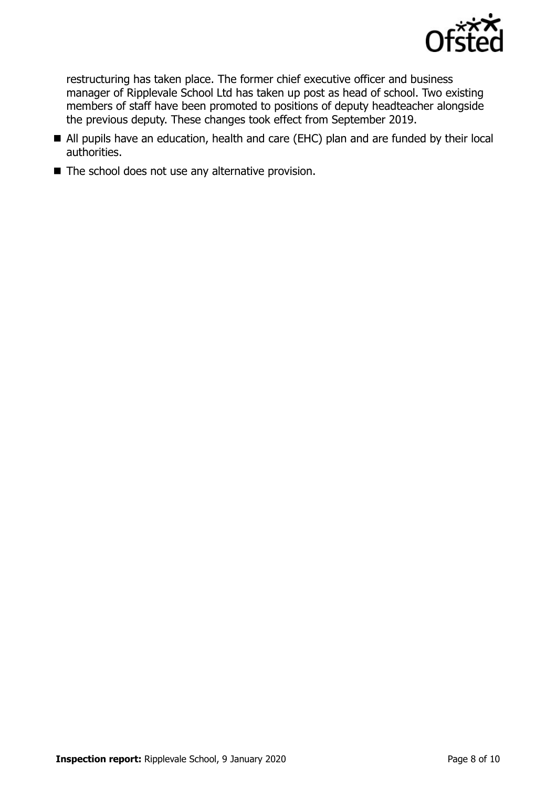

restructuring has taken place. The former chief executive officer and business manager of Ripplevale School Ltd has taken up post as head of school. Two existing members of staff have been promoted to positions of deputy headteacher alongside the previous deputy. These changes took effect from September 2019.

- All pupils have an education, health and care (EHC) plan and are funded by their local authorities.
- The school does not use any alternative provision.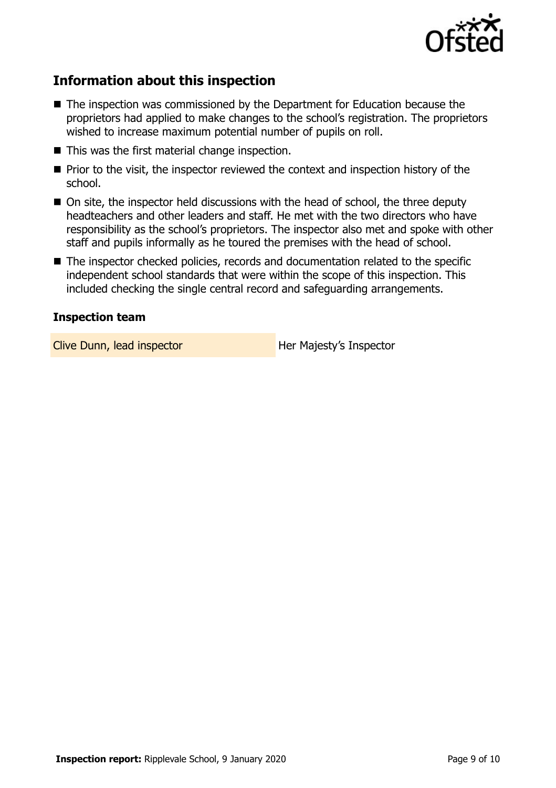

## **Information about this inspection**

- The inspection was commissioned by the Department for Education because the proprietors had applied to make changes to the school's registration. The proprietors wished to increase maximum potential number of pupils on roll.
- This was the first material change inspection.
- $\blacksquare$  Prior to the visit, the inspector reviewed the context and inspection history of the school.
- On site, the inspector held discussions with the head of school, the three deputy headteachers and other leaders and staff. He met with the two directors who have responsibility as the school's proprietors. The inspector also met and spoke with other staff and pupils informally as he toured the premises with the head of school.
- The inspector checked policies, records and documentation related to the specific independent school standards that were within the scope of this inspection. This included checking the single central record and safeguarding arrangements.

### **Inspection team**

Clive Dunn, lead inspector **Her Majesty's Inspector**